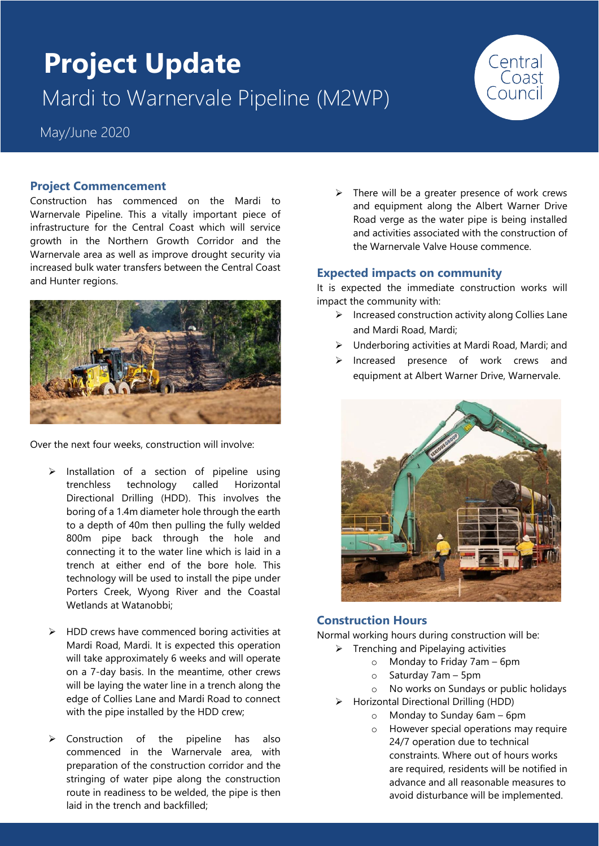# **Project Update** Mardi to Warnervale Pipeline (M2WP)



# **Project Commencement**

Construction has commenced on the Mardi to Warnervale Pipeline. This a vitally important piece of infrastructure for the Central Coast which will service growth in the Northern Growth Corridor and the Warnervale area as well as improve drought security via increased bulk water transfers between the Central Coast and Hunter regions.



Over the next four weeks, construction will involve:

- ➢ Installation of a section of pipeline using trenchless technology called Horizontal Directional Drilling (HDD). This involves the boring of a 1.4m diameter hole through the earth to a depth of 40m then pulling the fully welded 800m pipe back through the hole and connecting it to the water line which is laid in a trench at either end of the bore hole. This technology will be used to install the pipe under Porters Creek, Wyong River and the Coastal Wetlands at Watanobbi;
- ➢ HDD crews have commenced boring activities at Mardi Road, Mardi. It is expected this operation will take approximately 6 weeks and will operate on a 7-day basis. In the meantime, other crews will be laying the water line in a trench along the edge of Collies Lane and Mardi Road to connect with the pipe installed by the HDD crew;
- ➢ Construction of the pipeline has also commenced in the Warnervale area, with preparation of the construction corridor and the stringing of water pipe along the construction route in readiness to be welded, the pipe is then laid in the trench and backfilled;

 $\triangleright$  There will be a greater presence of work crews and equipment along the Albert Warner Drive Road verge as the water pipe is being installed and activities associated with the construction of the Warnervale Valve House commence.

Central<br>Coast

## **Expected impacts on community**

It is expected the immediate construction works will impact the community with:

- ➢ Increased construction activity along Collies Lane and Mardi Road, Mardi;
- ➢ Underboring activities at Mardi Road, Mardi; and
- ➢ Increased presence of work crews and equipment at Albert Warner Drive, Warnervale.



#### **Construction Hours**

Normal working hours during construction will be:

- $\triangleright$  Trenching and Pipelaying activities
	- o Monday to Friday 7am 6pm
	- o Saturday 7am 5pm

o No works on Sundays or public holidays

- ➢ Horizontal Directional Drilling (HDD)
	- o Monday to Sunday 6am 6pm
		- o However special operations may require 24/7 operation due to technical constraints. Where out of hours works are required, residents will be notified in advance and all reasonable measures to avoid disturbance will be implemented.